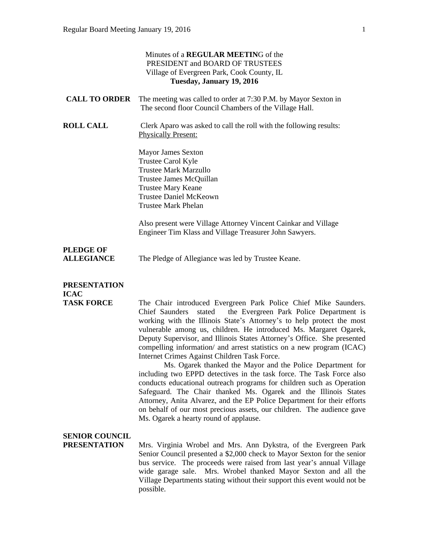|                                              | Minutes of a <b>REGULAR MEETING</b> of the<br>PRESIDENT and BOARD OF TRUSTEES<br>Village of Evergreen Park, Cook County, IL<br>Tuesday, January 19, 2016                                                                                                                                                                                                                                                                                                                                                                                                                                                                                                                                                                                                                                                                                                                                                                                                                  |
|----------------------------------------------|---------------------------------------------------------------------------------------------------------------------------------------------------------------------------------------------------------------------------------------------------------------------------------------------------------------------------------------------------------------------------------------------------------------------------------------------------------------------------------------------------------------------------------------------------------------------------------------------------------------------------------------------------------------------------------------------------------------------------------------------------------------------------------------------------------------------------------------------------------------------------------------------------------------------------------------------------------------------------|
| <b>CALL TO ORDER</b>                         | The meeting was called to order at 7:30 P.M. by Mayor Sexton in<br>The second floor Council Chambers of the Village Hall.                                                                                                                                                                                                                                                                                                                                                                                                                                                                                                                                                                                                                                                                                                                                                                                                                                                 |
| <b>ROLL CALL</b>                             | Clerk Aparo was asked to call the roll with the following results:<br><b>Physically Present:</b>                                                                                                                                                                                                                                                                                                                                                                                                                                                                                                                                                                                                                                                                                                                                                                                                                                                                          |
|                                              | Mayor James Sexton<br>Trustee Carol Kyle<br><b>Trustee Mark Marzullo</b><br>Trustee James McQuillan<br><b>Trustee Mary Keane</b><br><b>Trustee Daniel McKeown</b><br><b>Trustee Mark Phelan</b>                                                                                                                                                                                                                                                                                                                                                                                                                                                                                                                                                                                                                                                                                                                                                                           |
|                                              | Also present were Village Attorney Vincent Cainkar and Village<br>Engineer Tim Klass and Village Treasurer John Sawyers.                                                                                                                                                                                                                                                                                                                                                                                                                                                                                                                                                                                                                                                                                                                                                                                                                                                  |
| <b>PLEDGE OF</b><br><b>ALLEGIANCE</b>        | The Pledge of Allegiance was led by Trustee Keane.                                                                                                                                                                                                                                                                                                                                                                                                                                                                                                                                                                                                                                                                                                                                                                                                                                                                                                                        |
| <b>PRESENTATION</b><br><b>ICAC</b>           |                                                                                                                                                                                                                                                                                                                                                                                                                                                                                                                                                                                                                                                                                                                                                                                                                                                                                                                                                                           |
| <b>TASK FORCE</b>                            | The Chair introduced Evergreen Park Police Chief Mike Saunders.<br>the Evergreen Park Police Department is<br>Chief Saunders<br>stated<br>working with the Illinois State's Attorney's to help protect the most<br>vulnerable among us, children. He introduced Ms. Margaret Ogarek,<br>Deputy Supervisor, and Illinois States Attorney's Office. She presented<br>compelling information/ and arrest statistics on a new program (ICAC)<br>Internet Crimes Against Children Task Force.<br>Ms. Ogarek thanked the Mayor and the Police Department for<br>including two EPPD detectives in the task force. The Task Force also<br>conducts educational outreach programs for children such as Operation<br>Safeguard. The Chair thanked Ms. Ogarek and the Illinois States<br>Attorney, Anita Alvarez, and the EP Police Department for their efforts<br>on behalf of our most precious assets, our children. The audience gave<br>Ms. Ogarek a hearty round of applause. |
| <b>SENIOR COUNCIL</b><br><b>PRESENTATION</b> | Mrs. Virginia Wrobel and Mrs. Ann Dykstra, of the Evergreen Park<br>Senior Council presented a \$2,000 check to Mayor Sexton for the senior<br>bus service. The proceeds were raised from last year's annual Village<br>wide garage sale. Mrs. Wrobel thanked Mayor Sexton and all the<br>Village Departments stating without their support this event would not be<br>possible.                                                                                                                                                                                                                                                                                                                                                                                                                                                                                                                                                                                          |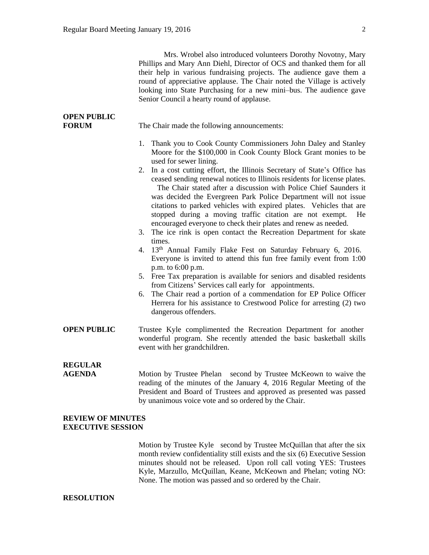Mrs. Wrobel also introduced volunteers Dorothy Novotny, Mary Phillips and Mary Ann Diehl, Director of OCS and thanked them for all their help in various fundraising projects. The audience gave them a round of appreciative applause. The Chair noted the Village is actively looking into State Purchasing for a new mini–bus. The audience gave Senior Council a hearty round of applause.

| <b>OPEN PUBLIC</b><br><b>FORUM</b> | The Chair made the following announcements:                                                                                                                                                                                                                                                                                                                                                                                                                                                                                                                                                                                                                                                                                                                                                                                                                                                                                                                                                                                                                                                                                                                                                                                             |  |  |  |  |  |
|------------------------------------|-----------------------------------------------------------------------------------------------------------------------------------------------------------------------------------------------------------------------------------------------------------------------------------------------------------------------------------------------------------------------------------------------------------------------------------------------------------------------------------------------------------------------------------------------------------------------------------------------------------------------------------------------------------------------------------------------------------------------------------------------------------------------------------------------------------------------------------------------------------------------------------------------------------------------------------------------------------------------------------------------------------------------------------------------------------------------------------------------------------------------------------------------------------------------------------------------------------------------------------------|--|--|--|--|--|
|                                    | 1. Thank you to Cook County Commissioners John Daley and Stanley<br>Moore for the \$100,000 in Cook County Block Grant monies to be<br>used for sewer lining.<br>2. In a cost cutting effort, the Illinois Secretary of State's Office has<br>ceased sending renewal notices to Illinois residents for license plates.<br>The Chair stated after a discussion with Police Chief Saunders it<br>was decided the Evergreen Park Police Department will not issue<br>citations to parked vehicles with expired plates. Vehicles that are<br>stopped during a moving traffic citation are not exempt.<br>He<br>encouraged everyone to check their plates and renew as needed.<br>The ice rink is open contact the Recreation Department for skate<br>3.<br>times.<br>4. 13th Annual Family Flake Fest on Saturday February 6, 2016.<br>Everyone is invited to attend this fun free family event from 1:00<br>p.m. to 6:00 p.m.<br>5. Free Tax preparation is available for seniors and disabled residents<br>from Citizens' Services call early for appointments.<br>The Chair read a portion of a commendation for EP Police Officer<br>6.<br>Herrera for his assistance to Crestwood Police for arresting (2) two<br>dangerous offenders. |  |  |  |  |  |
| <b>OPEN PUBLIC</b>                 | Trustee Kyle complimented the Recreation Department for another<br>wonderful program. She recently attended the basic basketball skills<br>event with her grandchildren.                                                                                                                                                                                                                                                                                                                                                                                                                                                                                                                                                                                                                                                                                                                                                                                                                                                                                                                                                                                                                                                                |  |  |  |  |  |
| <b>REGULAR</b><br><b>AGENDA</b>    | Motion by Trustee Phelan second by Trustee McKeown to waive the<br>reading of the minutes of the January 4, 2016 Regular Meeting of the<br>President and Board of Trustees and approved as presented was passed<br>by unanimous voice vote and so ordered by the Chair.                                                                                                                                                                                                                                                                                                                                                                                                                                                                                                                                                                                                                                                                                                                                                                                                                                                                                                                                                                 |  |  |  |  |  |
| <b>REVIEW OF MINUTES</b>           |                                                                                                                                                                                                                                                                                                                                                                                                                                                                                                                                                                                                                                                                                                                                                                                                                                                                                                                                                                                                                                                                                                                                                                                                                                         |  |  |  |  |  |

## **EXECUTIVE SESSION**

Motion by Trustee Kyle second by Trustee McQuillan that after the six month review confidentiality still exists and the six (6) Executive Session minutes should not be released. Upon roll call voting YES: Trustees Kyle, Marzullo, McQuillan, Keane, McKeown and Phelan; voting NO: None. The motion was passed and so ordered by the Chair.

## **RESOLUTION**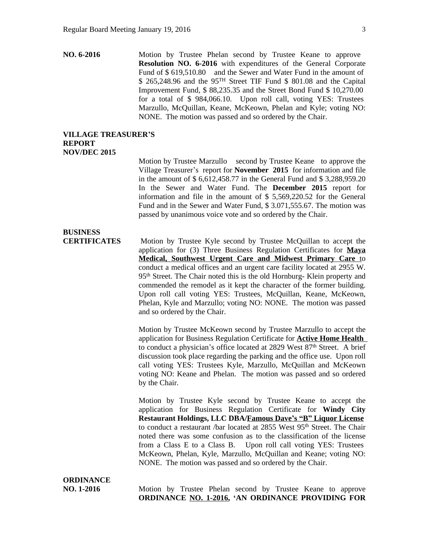**NO. 6-2016** Motion by Trustee Phelan second by Trustee Keane to approve **Resolution NO. 6-2016** with expenditures of the General Corporate Fund of \$ 619,510.80 and the Sewer and Water Fund in the amount of \$ 265,248.96 and the 95TH Street TIF Fund \$ 801.08 and the Capital Improvement Fund, \$ 88,235.35 and the Street Bond Fund \$ 10,270.00 for a total of \$ 984,066.10. Upon roll call, voting YES: Trustees Marzullo, McQuillan, Keane, McKeown, Phelan and Kyle; voting NO: NONE. The motion was passed and so ordered by the Chair.

## **VILLAGE TREASURER'S REPORT NOV/DEC 2015**

Motion by Trustee Marzullo second by Trustee Keane to approve the Village Treasurer's report for **November 2015** for information and file in the amount of \$ 6,612,458.77 in the General Fund and \$ 3,288,959.20 In the Sewer and Water Fund. The **December 2015** report for information and file in the amount of \$ 5,569,220.52 for the General Fund and in the Sewer and Water Fund, \$ 3.071,555.67. The motion was passed by unanimous voice vote and so ordered by the Chair.

## **BUSINESS**

**CERTIFICATES** Motion by Trustee Kyle second by Trustee McQuillan to accept the application for (3) Three Business Regulation Certificates for **Maya Medical, Southwest Urgent Care and Midwest Primary Care** to conduct a medical offices and an urgent care facility located at 2955 W. 95th Street. The Chair noted this is the old Hornburg- Klein property and commended the remodel as it kept the character of the former building. Upon roll call voting YES: Trustees, McQuillan, Keane, McKeown, Phelan, Kyle and Marzullo; voting NO: NONE. The motion was passed and so ordered by the Chair.

> Motion by Trustee McKeown second by Trustee Marzullo to accept the application for Business Regulation Certificate for **Active Home Health** to conduct a physician's office located at 2829 West 87th Street. A brief discussion took place regarding the parking and the office use. Upon roll call voting YES: Trustees Kyle, Marzullo, McQuillan and McKeown voting NO: Keane and Phelan. The motion was passed and so ordered by the Chair.

> Motion by Trustee Kyle second by Trustee Keane to accept the application for Business Regulation Certificate for **Windy City Restaurant Holdings, LLC DBA/Famous Dave's "B" Liquor License** to conduct a restaurant /bar located at 2855 West 95th Street. The Chair noted there was some confusion as to the classification of the license from a Class E to a Class B. Upon roll call voting YES: Trustees McKeown, Phelan, Kyle, Marzullo, McQuillan and Keane; voting NO: NONE. The motion was passed and so ordered by the Chair.

|            |  | <b>ORDINANCE NO. 1-2016, 'AN ORDINANCE PROVIDING FOR</b>    |  |  |  |  |
|------------|--|-------------------------------------------------------------|--|--|--|--|
| NO. 1-2016 |  | Motion by Trustee Phelan second by Trustee Keane to approve |  |  |  |  |
| ORDINANCE  |  |                                                             |  |  |  |  |